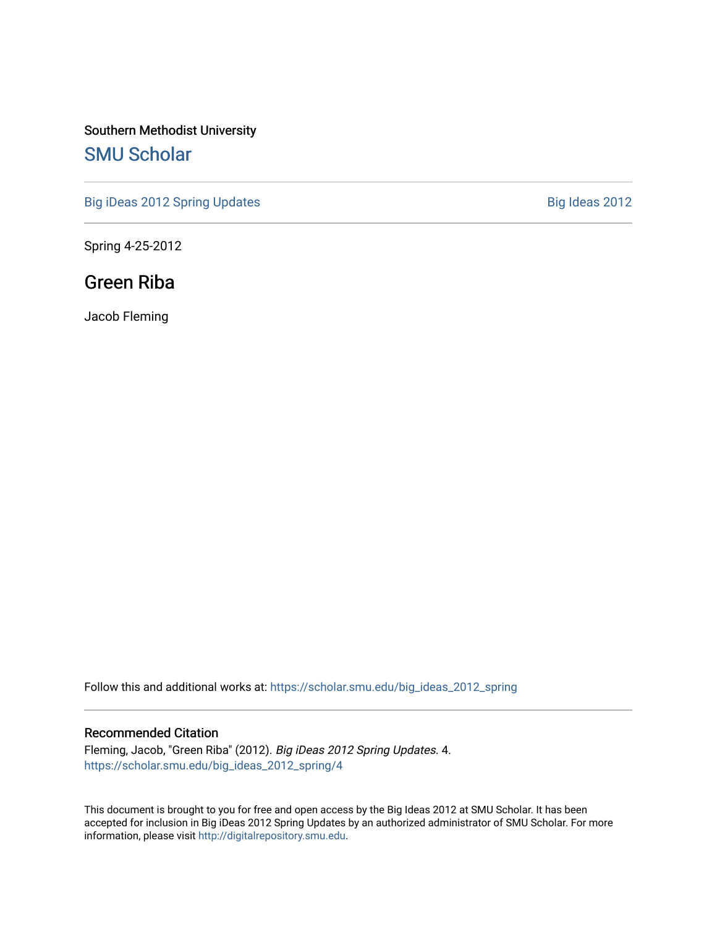#### Southern Methodist University [SMU Scholar](https://scholar.smu.edu/)

[Big iDeas 2012 Spring Updates](https://scholar.smu.edu/big_ideas_2012_spring) **Big Ideas 2012** 

Spring 4-25-2012

#### Green Riba

Jacob Fleming

Follow this and additional works at: [https://scholar.smu.edu/big\\_ideas\\_2012\\_spring](https://scholar.smu.edu/big_ideas_2012_spring?utm_source=scholar.smu.edu%2Fbig_ideas_2012_spring%2F4&utm_medium=PDF&utm_campaign=PDFCoverPages) 

#### Recommended Citation

Fleming, Jacob, "Green Riba" (2012). Big iDeas 2012 Spring Updates. 4. [https://scholar.smu.edu/big\\_ideas\\_2012\\_spring/4](https://scholar.smu.edu/big_ideas_2012_spring/4?utm_source=scholar.smu.edu%2Fbig_ideas_2012_spring%2F4&utm_medium=PDF&utm_campaign=PDFCoverPages) 

This document is brought to you for free and open access by the Big Ideas 2012 at SMU Scholar. It has been accepted for inclusion in Big iDeas 2012 Spring Updates by an authorized administrator of SMU Scholar. For more information, please visit [http://digitalrepository.smu.edu](http://digitalrepository.smu.edu/).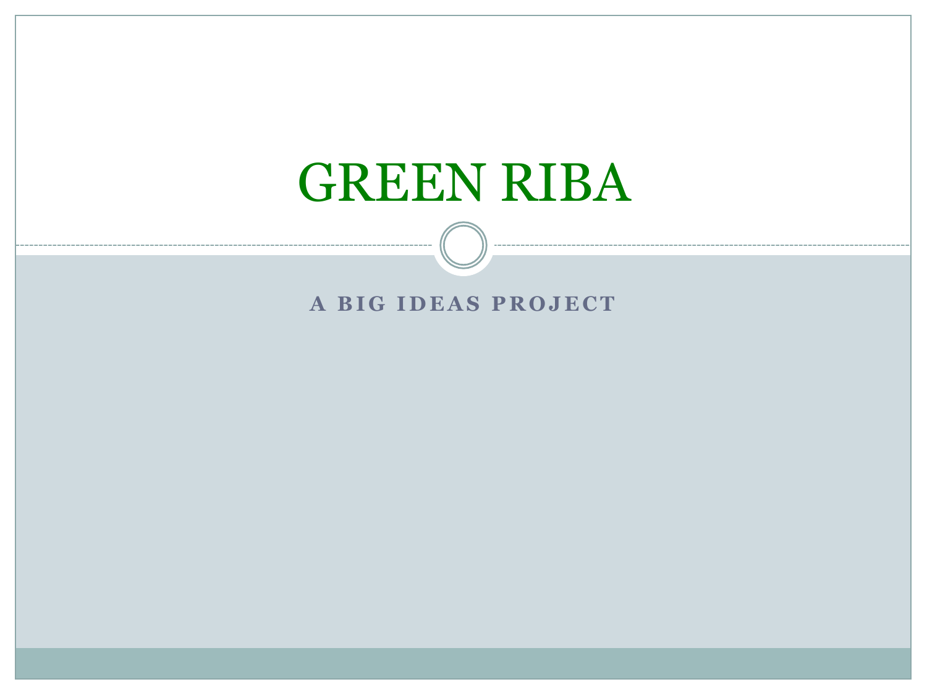# GREEN RIBA

### **A BIG IDEAS PROJECT**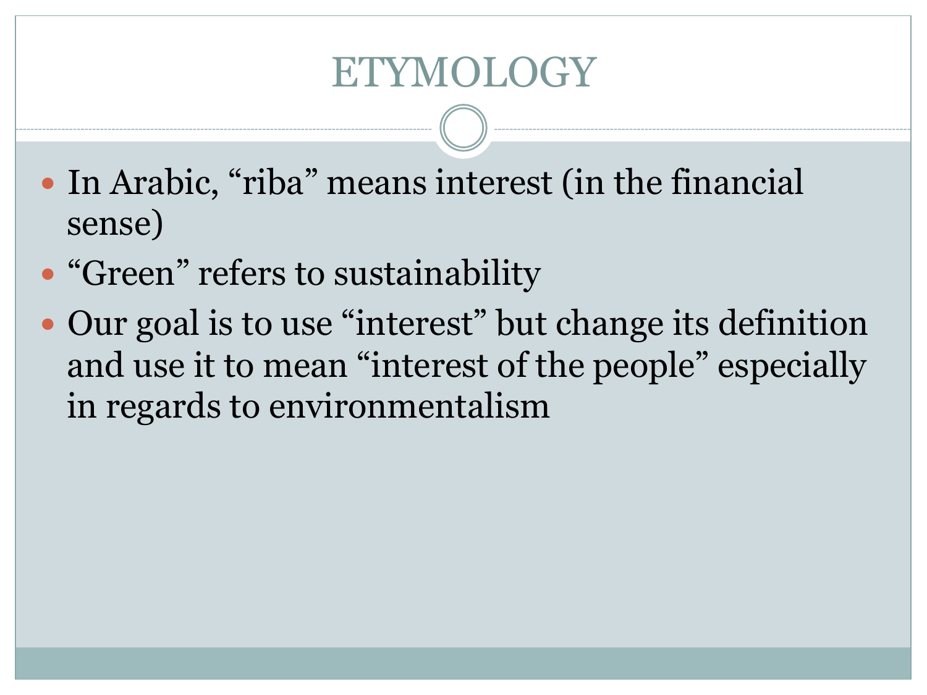# **ETYMOLOGY**

- In Arabic, "riba" means interest (in the financial sense)
- "Green" refers to sustainability
- Our goal is to use "interest" but change its definition and use it to mean "interest of the people" especially in regards to environmentalism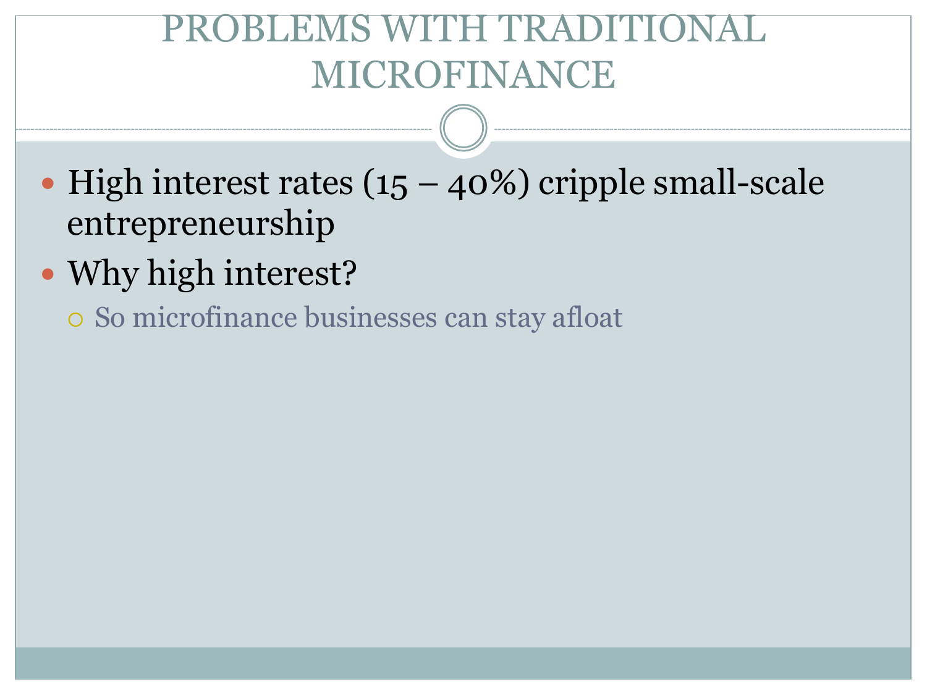## BLEMS WITH TRAD MICROFINANCE

- $\bullet$  High interest rates (15 40%) cripple small-scale entrepreneurship
- Why high interest?
	- o So microfinance businesses can stay afloat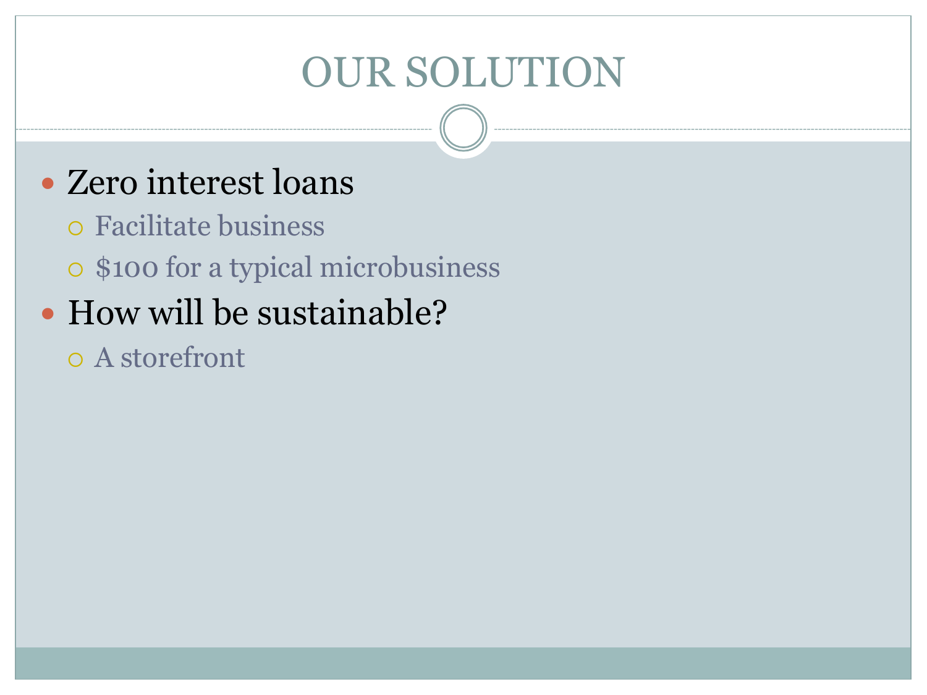# OUR SOLUTION

## • Zero interest loans

- ! Facilitate business
- o \$100 for a typical microbusiness
- How will be sustainable?
	- o A storefront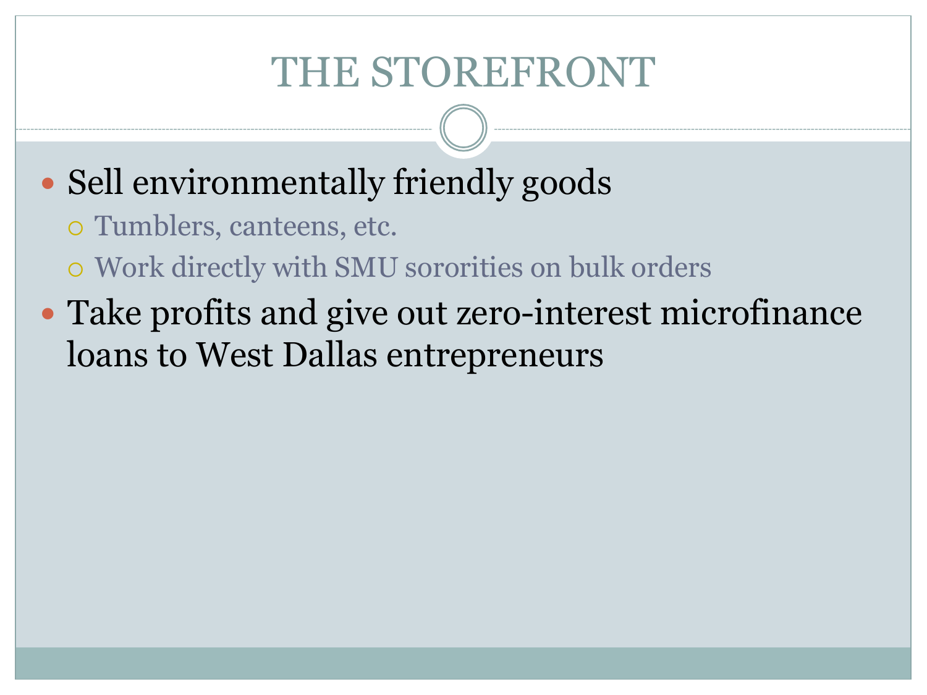# THE STOREFRONT

- Sell environmentally friendly goods
	- o Tumblers, canteens, etc.
	- o Work directly with SMU sororities on bulk orders
- Take profits and give out zero-interest microfinance loans to West Dallas entrepreneurs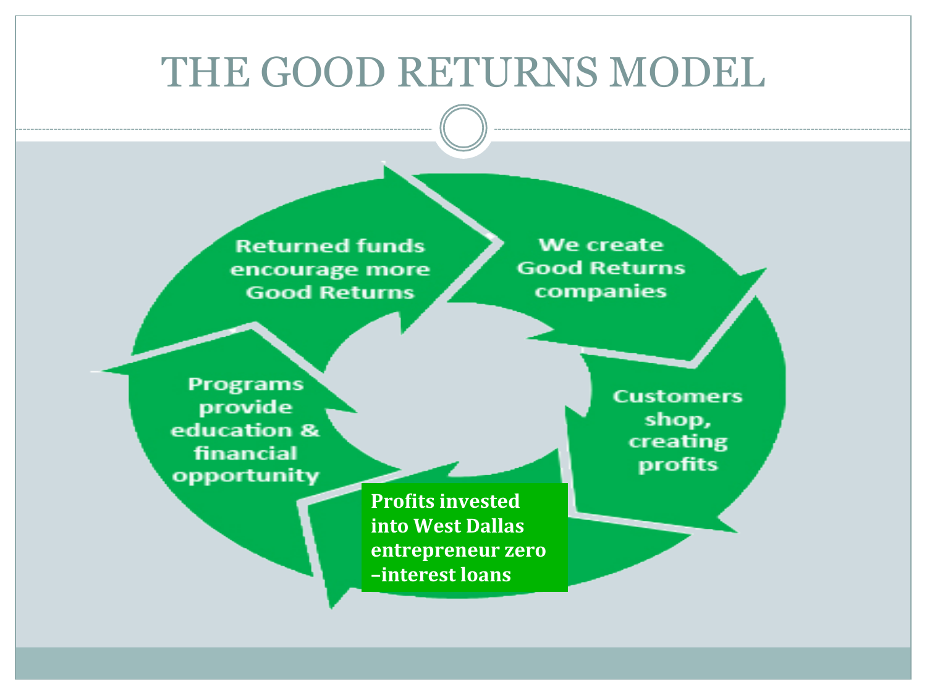## THE GOOD RETURNS MODEL

**Returned funds** encourage more **Good Returns** 

We create **Good Returns** companies

**Programs** provide education & financial opportunity

> **Profits invested into West Dallas entrepreneur** zero *–interest loans*

**Customers** shop, creating profits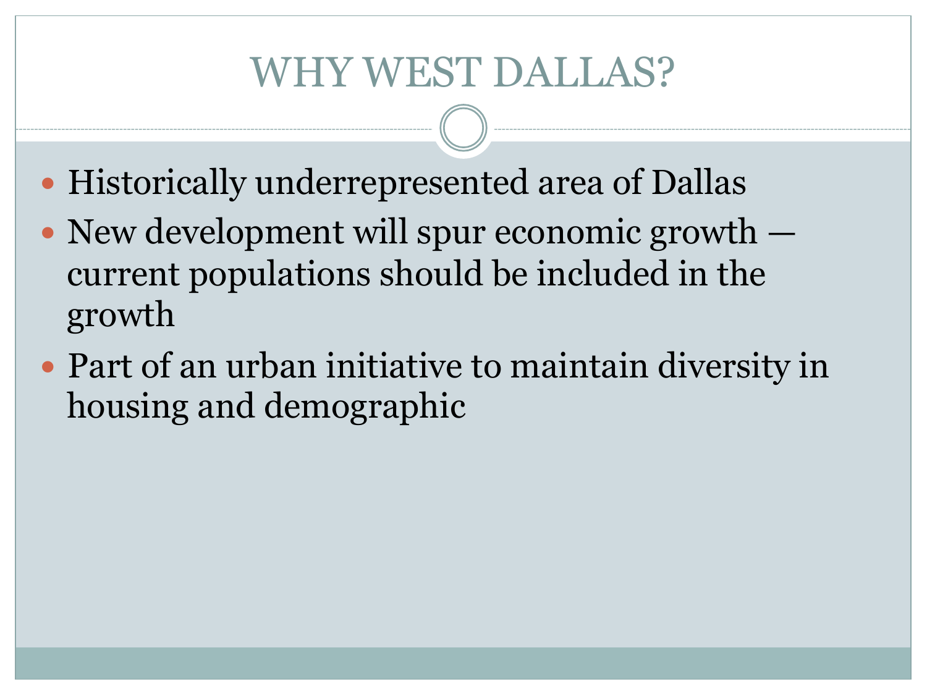# WHY WEST DALLAS?

- Historically underrepresented area of Dallas
- New development will spur economic growth current populations should be included in the growth
- Part of an urban initiative to maintain diversity in housing and demographic